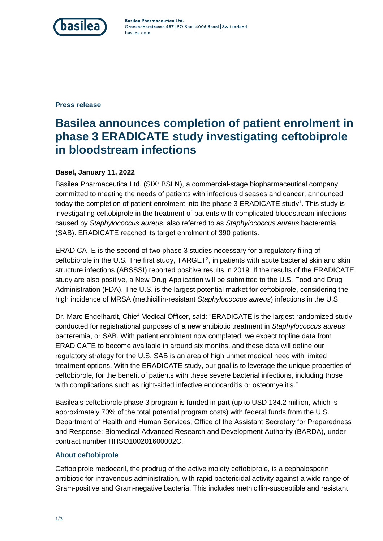

Basilea Pharmaceutica Ltd. Grenzacherstrasse 487 | PO Box | 4005 Basel | Switzerland basilea.com

#### **Press release**

# **Basilea announces completion of patient enrolment in phase 3 ERADICATE study investigating ceftobiprole in bloodstream infections**

## **Basel, January 11, 2022**

Basilea Pharmaceutica Ltd. (SIX: BSLN), a commercial-stage biopharmaceutical company committed to meeting the needs of patients with infectious diseases and cancer, announced today the completion of patient enrolment into the phase 3  $\sf{ERADICATE}$  study<sup>1</sup>. This study is investigating ceftobiprole in the treatment of patients with complicated bloodstream infections caused by *Staphylococcus aureus*, also referred to as *Staphylococcus aureus* bacteremia (SAB). ERADICATE reached its target enrolment of 390 patients.

ERADICATE is the second of two phase 3 studies necessary for a regulatory filing of ceftobiprole in the U.S. The first study,  $\text{TARGE}^{T2}$ , in patients with acute bacterial skin and skin structure infections (ABSSSI) reported positive results in 2019. If the results of the ERADICATE study are also positive, a New Drug Application will be submitted to the U.S. Food and Drug Administration (FDA). The U.S. is the largest potential market for ceftobiprole, considering the high incidence of MRSA (methicillin-resistant *Staphylococcus aureus*) infections in the U.S.

Dr. Marc Engelhardt, Chief Medical Officer, said: "ERADICATE is the largest randomized study conducted for registrational purposes of a new antibiotic treatment in *Staphylococcus aureus* bacteremia, or SAB. With patient enrolment now completed, we expect topline data from ERADICATE to become available in around six months, and these data will define our regulatory strategy for the U.S. SAB is an area of high unmet medical need with limited treatment options. With the ERADICATE study, our goal is to leverage the unique properties of ceftobiprole, for the benefit of patients with these severe bacterial infections, including those with complications such as right-sided infective endocarditis or osteomyelitis."

Basilea's ceftobiprole phase 3 program is funded in part (up to USD 134.2 million, which is approximately 70% of the total potential program costs) with federal funds from the U.S. Department of Health and Human Services; Office of the Assistant Secretary for Preparedness and Response; Biomedical Advanced Research and Development Authority (BARDA), under contract number HHSO100201600002C.

## **About ceftobiprole**

Ceftobiprole medocaril, the prodrug of the active moiety ceftobiprole, is a cephalosporin antibiotic for intravenous administration, with rapid bactericidal activity against a wide range of Gram-positive and Gram-negative bacteria. This includes methicillin-susceptible and resistant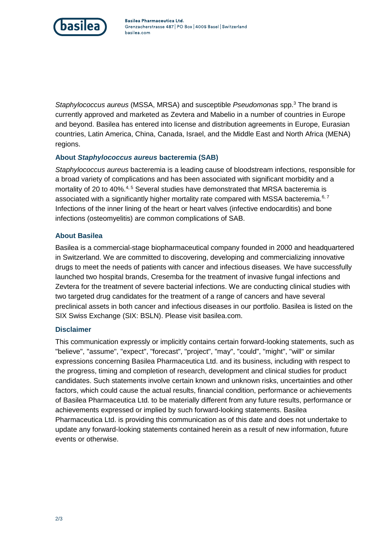

*Staphylococcus aureus* (MSSA, MRSA) and susceptible *Pseudomonas* spp.<sup>3</sup> The brand is currently approved and marketed as Zevtera and Mabelio in a number of countries in Europe and beyond. Basilea has entered into license and distribution agreements in Europe, Eurasian countries, Latin America, China, Canada, Israel, and the Middle East and North Africa (MENA) regions.

## **About** *Staphylococcus aureus* **bacteremia (SAB)**

*Staphylococcus aureus* bacteremia is a leading cause of bloodstream infections, responsible for a broad variety of complications and has been associated with significant morbidity and a mortality of 20 to 40%.<sup>4, 5</sup> Several studies have demonstrated that MRSA bacteremia is associated with a significantly higher mortality rate compared with MSSA bacteremia.<sup>6, 7</sup> Infections of the inner lining of the heart or heart valves (infective endocarditis) and bone infections (osteomyelitis) are common complications of SAB.

## **About Basilea**

Basilea is a commercial-stage biopharmaceutical company founded in 2000 and headquartered in Switzerland. We are committed to discovering, developing and commercializing innovative drugs to meet the needs of patients with cancer and infectious diseases. We have successfully launched two hospital brands, Cresemba for the treatment of invasive fungal infections and Zevtera for the treatment of severe bacterial infections. We are conducting clinical studies with two targeted drug candidates for the treatment of a range of cancers and have several preclinical assets in both cancer and infectious diseases in our portfolio. Basilea is listed on the SIX Swiss Exchange (SIX: BSLN). Please visit basilea.com.

## **Disclaimer**

This communication expressly or implicitly contains certain forward-looking statements, such as "believe", "assume", "expect", "forecast", "project", "may", "could", "might", "will" or similar expressions concerning Basilea Pharmaceutica Ltd. and its business, including with respect to the progress, timing and completion of research, development and clinical studies for product candidates. Such statements involve certain known and unknown risks, uncertainties and other factors, which could cause the actual results, financial condition, performance or achievements of Basilea Pharmaceutica Ltd. to be materially different from any future results, performance or achievements expressed or implied by such forward-looking statements. Basilea Pharmaceutica Ltd. is providing this communication as of this date and does not undertake to update any forward-looking statements contained herein as a result of new information, future events or otherwise.